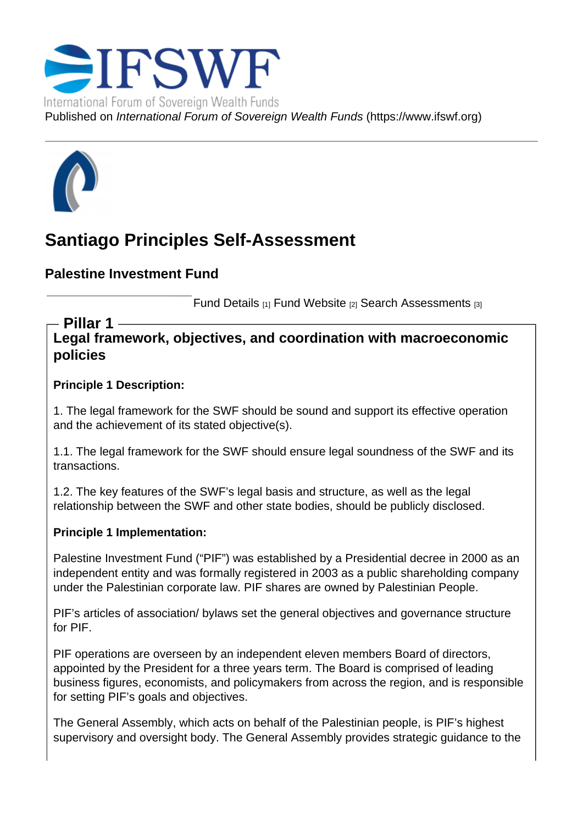# Santiago Principles Self-Assessment

Palestine Investment Fund

Fund Details [1] Fund Website [2] Search Assessments [3]

Legal framework, objectives, and coordination with macroeconomic policies Pillar 1

Principle 1 Description:

1. The legal framework for the SWF should be sound and support its effective operation and the achievement of its stated objective(s).

1.1. The legal framework for the SWF should ensure legal soundness of the SWF and its transactions.

1.2. The key features of the SWF's legal basis and structure, as well as the legal relationship between the SWF and other state bodies, should be publicly disclosed.

Principle 1 Implementation:

Palestine Investment Fund ("PIF") was established by a Presidential decree in 2000 as an independent entity and was formally registered in 2003 as a public shareholding company under the Palestinian corporate law. PIF shares are owned by Palestinian People.

PIF's articles of association/ bylaws set the general objectives and governance structure for PIF.

PIF operations are overseen by an independent eleven members Board of directors, appointed by the President for a three years term. The Board is comprised of leading business figures, economists, and policymakers from across the region, and is responsible for setting PIF's goals and objectives.

The General Assembly, which acts on behalf of the Palestinian people, is PIF's highest supervisory and oversight body. The General Assembly provides strategic guidance to the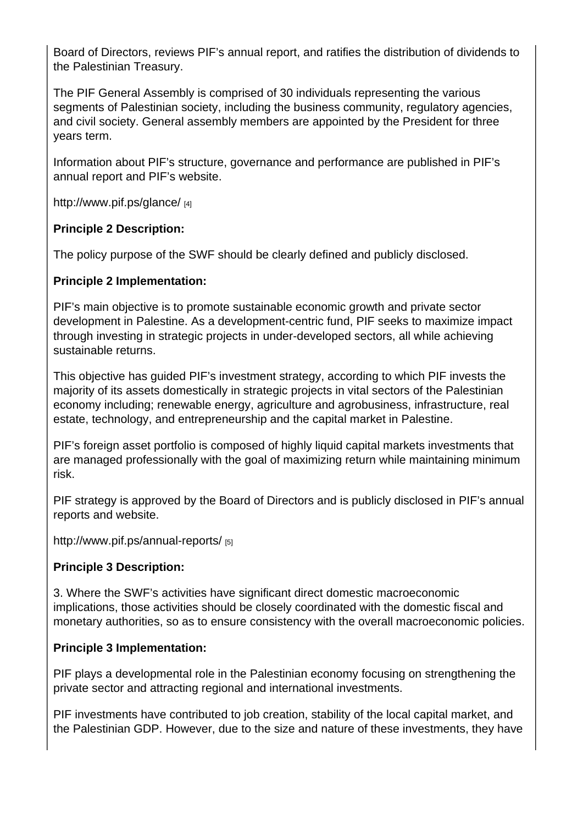Board of Directors, reviews PIF's annual report, and ratifies the distribution of dividends to the Palestinian Treasury.

The PIF General Assembly is comprised of 30 individuals representing the various segments of Palestinian society, including the business community, regulatory agencies, and civil society. General assembly members are appointed by the President for three years term.

Information about PIF's structure, governance and performance are published in PIF's annual report and PIF's website.

http://www.pif.ps/glance/ [4]

Principle 2 Description:

[The policy purpose of the](http://www.pif.ps/glance/) SWF should be clearly defined and publicly disclosed.

Principle 2 Implementation:

PIF's main objective is to promote sustainable economic growth and private sector development in Palestine. As a development-centric fund, PIF seeks to maximize impact through investing in strategic projects in under-developed sectors, all while achieving sustainable returns.

This objective has guided PIF's investment strategy, according to which PIF invests the majority of its assets domestically in strategic projects in vital sectors of the Palestinian economy including; renewable energy, agriculture and agrobusiness, infrastructure, real estate, technology, and entrepreneurship and the capital market in Palestine.

PIF's foreign asset portfolio is composed of highly liquid capital markets investments that are managed professionally with the goal of maximizing return while maintaining minimum risk.

PIF strategy is approved by the Board of Directors and is publicly disclosed in PIF's annual reports and website.

http://www.pif.ps/annual-reports/ [5]

Principle 3 Description:

[3. Where the SWF's activities ha](http://www.pif.ps/annual-reports/)ve significant direct domestic macroeconomic implications, those activities should be closely coordinated with the domestic fiscal and monetary authorities, so as to ensure consistency with the overall macroeconomic policies.

Principle 3 Implementation:

PIF plays a developmental role in the Palestinian economy focusing on strengthening the private sector and attracting regional and international investments.

PIF investments have contributed to job creation, stability of the local capital market, and the Palestinian GDP. However, due to the size and nature of these investments, they have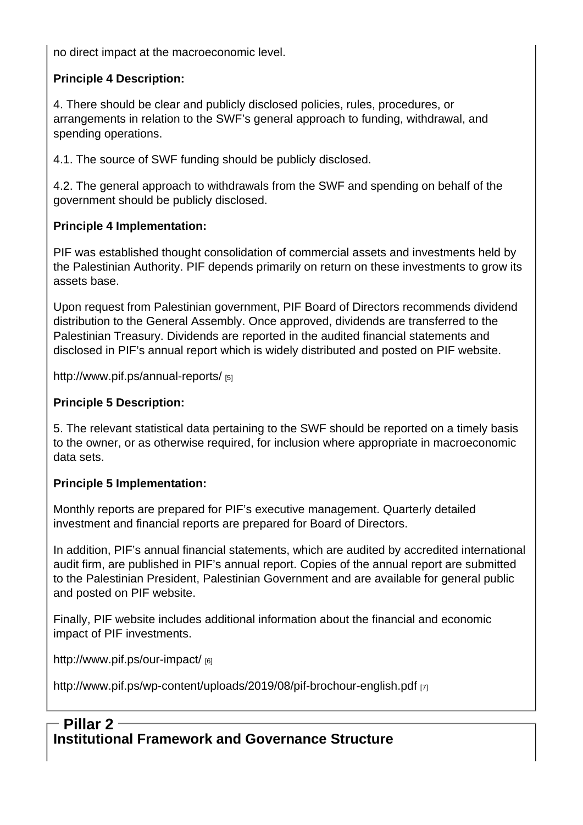no direct impact at the macroeconomic level.

Principle 4 Description:

4. There should be clear and publicly disclosed policies, rules, procedures, or arrangements in relation to the SWF's general approach to funding, withdrawal, and spending operations.

4.1. The source of SWF funding should be publicly disclosed.

4.2. The general approach to withdrawals from the SWF and spending on behalf of the government should be publicly disclosed.

Principle 4 Implementation:

PIF was established thought consolidation of commercial assets and investments held by the Palestinian Authority. PIF depends primarily on return on these investments to grow its assets base.

Upon request from Palestinian government, PIF Board of Directors recommends dividend distribution to the General Assembly. Once approved, dividends are transferred to the Palestinian Treasury. Dividends are reported in the audited financial statements and disclosed in PIF's annual report which is widely distributed and posted on PIF website.

http://www.pif.ps/annual-reports/ [5]

Principle 5 Description:

[5. The relevant statistical data pe](http://www.pif.ps/annual-reports/)rtaining to the SWF should be reported on a timely basis to the owner, or as otherwise required, for inclusion where appropriate in macroeconomic data sets.

Principle 5 Implementation:

Monthly reports are prepared for PIF's executive management. Quarterly detailed investment and financial reports are prepared for Board of Directors.

In addition, PIF's annual financial statements, which are audited by accredited international audit firm, are published in PIF's annual report. Copies of the annual report are submitted to the Palestinian President, Palestinian Government and are available for general public and posted on PIF website.

Finally, PIF website includes additional information about the financial and economic impact of PIF investments.

http://www.pif.ps/our-impact/ [6]

http://www.pif.ps/wp-content/uploads/2019/08/pif-brochour-english.pdf [7]

# [Institutional Framework and Governance Structure](http://www.pif.ps/wp-content/uploads/2019/08/pif-brochour-english.pdf) - Pillar 2 -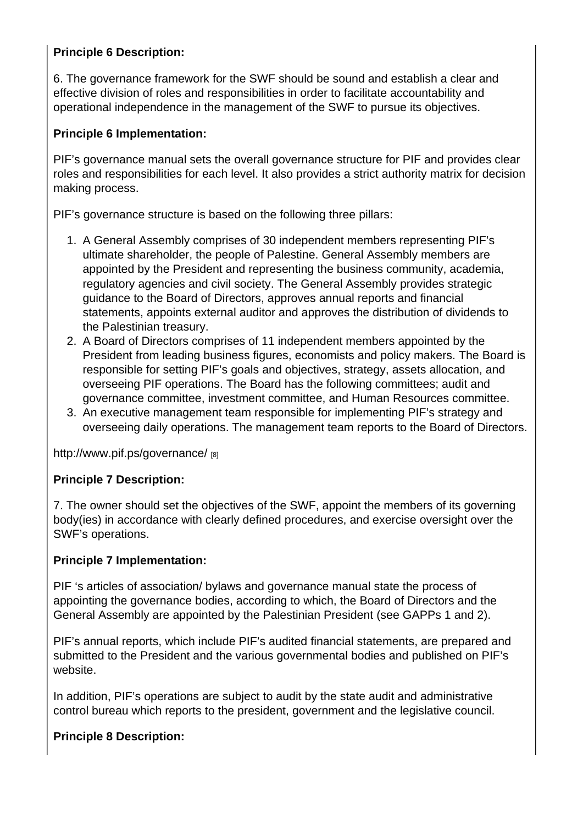Principle 6 Description:

6. The governance framework for the SWF should be sound and establish a clear and effective division of roles and responsibilities in order to facilitate accountability and operational independence in the management of the SWF to pursue its objectives.

Principle 6 Implementation:

PIF's governance manual sets the overall governance structure for PIF and provides clear roles and responsibilities for each level. It also provides a strict authority matrix for decision making process.

PIF's governance structure is based on the following three pillars:

- 1. A General Assembly comprises of 30 independent members representing PIF's ultimate shareholder, the people of Palestine. General Assembly members are appointed by the President and representing the business community, academia, regulatory agencies and civil society. The General Assembly provides strategic guidance to the Board of Directors, approves annual reports and financial statements, appoints external auditor and approves the distribution of dividends to the Palestinian treasury.
- 2. A Board of Directors comprises of 11 independent members appointed by the President from leading business figures, economists and policy makers. The Board is responsible for setting PIF's goals and objectives, strategy, assets allocation, and overseeing PIF operations. The Board has the following committees; audit and governance committee, investment committee, and Human Resources committee.
- 3. An executive management team responsible for implementing PIF's strategy and overseeing daily operations. The management team reports to the Board of Directors.

http://www.pif.ps/governance/ [8]

Principle 7 Description:

[7. The owner should set the o](http://www.pif.ps/governance/)bjectives of the SWF, appoint the members of its governing body(ies) in accordance with clearly defined procedures, and exercise oversight over the SWF's operations.

Principle 7 Implementation:

PIF 's articles of association/ bylaws and governance manual state the process of appointing the governance bodies, according to which, the Board of Directors and the General Assembly are appointed by the Palestinian President (see GAPPs 1 and 2).

PIF's annual reports, which include PIF's audited financial statements, are prepared and submitted to the President and the various governmental bodies and published on PIF's website.

In addition, PIF's operations are subject to audit by the state audit and administrative control bureau which reports to the president, government and the legislative council.

Principle 8 Description: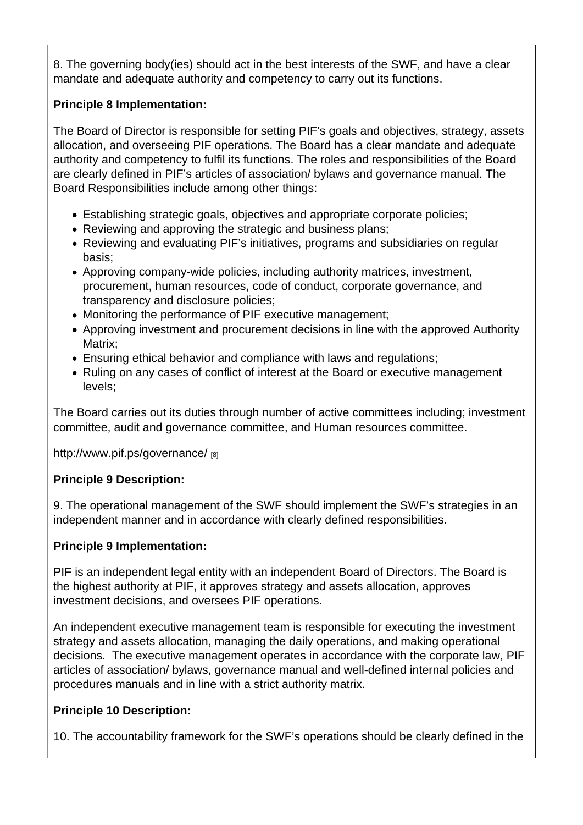8. The governing body(ies) should act in the best interests of the SWF, and have a clear mandate and adequate authority and competency to carry out its functions.

Principle 8 Implementation:

The Board of Director is responsible for setting PIF's goals and objectives, strategy, assets allocation, and overseeing PIF operations. The Board has a clear mandate and adequate authority and competency to fulfil its functions. The roles and responsibilities of the Board are clearly defined in PIF's articles of association/ bylaws and governance manual. The Board Responsibilities include among other things:

- Establishing strategic goals, objectives and appropriate corporate policies;
- Reviewing and approving the strategic and business plans;
- Reviewing and evaluating PIF's initiatives, programs and subsidiaries on regular basis;
- Approving company-wide policies, including authority matrices, investment, procurement, human resources, code of conduct, corporate governance, and transparency and disclosure policies;
- Monitoring the performance of PIF executive management;
- Approving investment and procurement decisions in line with the approved Authority Matrix;
- Ensuring ethical behavior and compliance with laws and regulations;
- Ruling on any cases of conflict of interest at the Board or executive management levels;

The Board carries out its duties through number of active committees including; investment committee, audit and governance committee, and Human resources committee.

http://www.pif.ps/governance/ [8]

Principle 9 Description:

[9. The operational manageme](http://www.pif.ps/governance/)nt of the SWF should implement the SWF's strategies in an independent manner and in accordance with clearly defined responsibilities.

Principle 9 Implementation:

PIF is an independent legal entity with an independent Board of Directors. The Board is the highest authority at PIF, it approves strategy and assets allocation, approves investment decisions, and oversees PIF operations.

An independent executive management team is responsible for executing the investment strategy and assets allocation, managing the daily operations, and making operational decisions. The executive management operates in accordance with the corporate law, PIF articles of association/ bylaws, governance manual and well-defined internal policies and procedures manuals and in line with a strict authority matrix.

Principle 10 Description:

10. The accountability framework for the SWF's operations should be clearly defined in the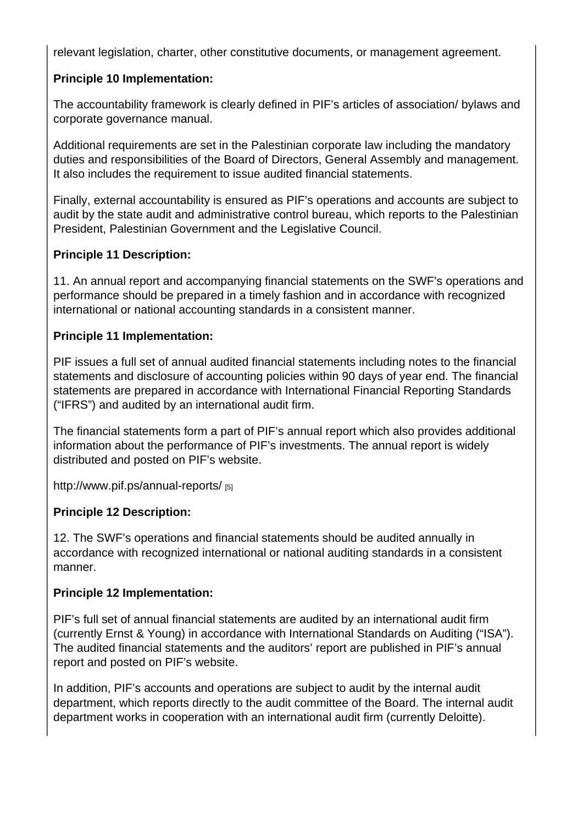relevant legislation, charter, other constitutive documents, or management agreement.

Principle 10 Implementation:

The accountability framework is clearly defined in PIF's articles of association/ bylaws and corporate governance manual.

Additional requirements are set in the Palestinian corporate law including the mandatory duties and responsibilities of the Board of Directors, General Assembly and management. It also includes the requirement to issue audited financial statements.

Finally, external accountability is ensured as PIF's operations and accounts are subject to audit by the state audit and administrative control bureau, which reports to the Palestinian President, Palestinian Government and the Legislative Council.

Principle 11 Description:

11. An annual report and accompanying financial statements on the SWF's operations and performance should be prepared in a timely fashion and in accordance with recognized international or national accounting standards in a consistent manner.

Principle 11 Implementation:

PIF issues a full set of annual audited financial statements including notes to the financial statements and disclosure of accounting policies within 90 days of year end. The financial statements are prepared in accordance with International Financial Reporting Standards ("IFRS") and audited by an international audit firm.

The financial statements form a part of PIF's annual report which also provides additional information about the performance of PIF's investments. The annual report is widely distributed and posted on PIF's website.

http://www.pif.ps/annual-reports/ [5]

Principle 12 Description:

[12. The SWF's operations and fin](http://www.pif.ps/annual-reports/)ancial statements should be audited annually in accordance with recognized international or national auditing standards in a consistent manner.

Principle 12 Implementation:

PIF's full set of annual financial statements are audited by an international audit firm (currently Ernst & Young) in accordance with International Standards on Auditing ("ISA"). The audited financial statements and the auditors' report are published in PIF's annual report and posted on PIF's website.

In addition, PIF's accounts and operations are subject to audit by the internal audit department, which reports directly to the audit committee of the Board. The internal audit department works in cooperation with an international audit firm (currently Deloitte).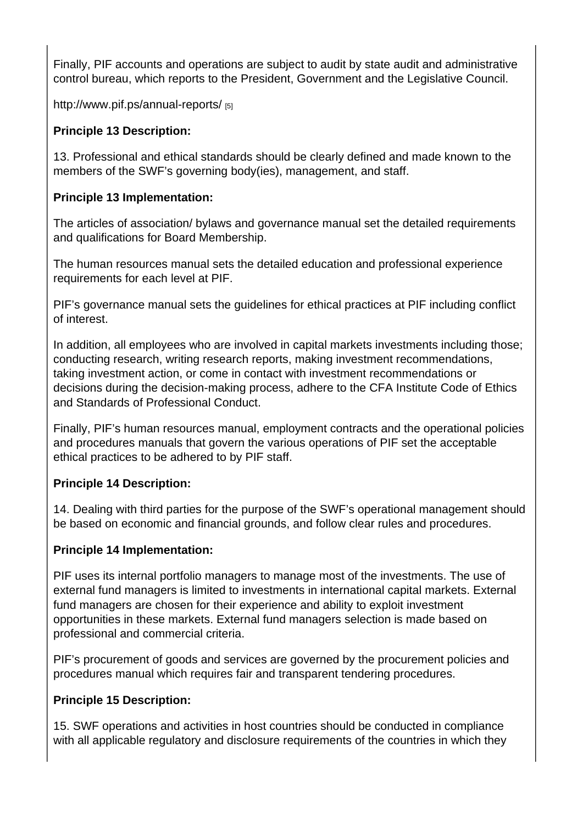Finally, PIF accounts and operations are subject to audit by state audit and administrative control bureau, which reports to the President, Government and the Legislative Council.

http://www.pif.ps/annual-reports/ [5]

Principle 13 Description:

[13. Professional and ethical stan](http://www.pif.ps/annual-reports/)dards should be clearly defined and made known to the members of the SWF's governing body(ies), management, and staff.

Principle 13 Implementation:

The articles of association/ bylaws and governance manual set the detailed requirements and qualifications for Board Membership.

The human resources manual sets the detailed education and professional experience requirements for each level at PIF.

PIF's governance manual sets the guidelines for ethical practices at PIF including conflict of interest.

In addition, all employees who are involved in capital markets investments including those; conducting research, writing research reports, making investment recommendations, taking investment action, or come in contact with investment recommendations or decisions during the decision-making process, adhere to the CFA Institute Code of Ethics and Standards of Professional Conduct.

Finally, PIF's human resources manual, employment contracts and the operational policies and procedures manuals that govern the various operations of PIF set the acceptable ethical practices to be adhered to by PIF staff.

Principle 14 Description:

14. Dealing with third parties for the purpose of the SWF's operational management should be based on economic and financial grounds, and follow clear rules and procedures.

Principle 14 Implementation:

PIF uses its internal portfolio managers to manage most of the investments. The use of external fund managers is limited to investments in international capital markets. External fund managers are chosen for their experience and ability to exploit investment opportunities in these markets. External fund managers selection is made based on professional and commercial criteria.

PIF's procurement of goods and services are governed by the procurement policies and procedures manual which requires fair and transparent tendering procedures.

Principle 15 Description:

15. SWF operations and activities in host countries should be conducted in compliance with all applicable regulatory and disclosure requirements of the countries in which they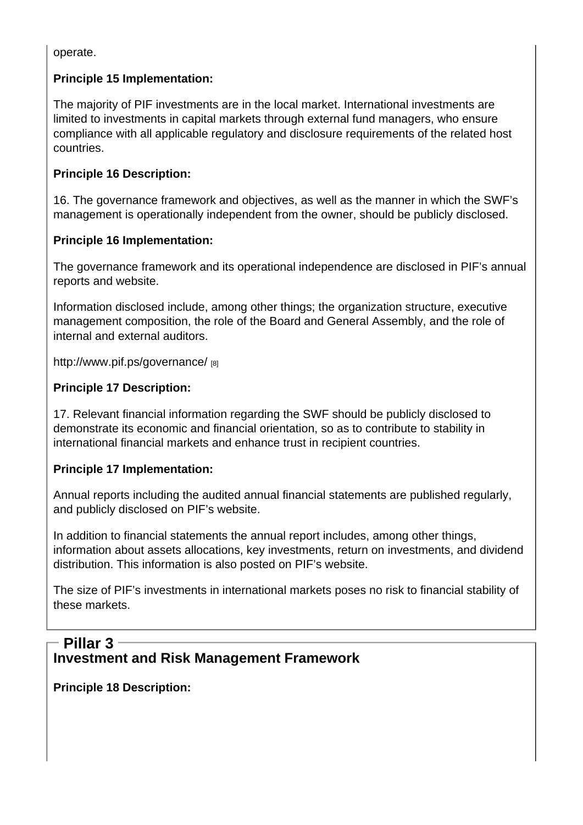operate.

Principle 15 Implementation:

The majority of PIF investments are in the local market. International investments are limited to investments in capital markets through external fund managers, who ensure compliance with all applicable regulatory and disclosure requirements of the related host countries.

Principle 16 Description:

16. The governance framework and objectives, as well as the manner in which the SWF's management is operationally independent from the owner, should be publicly disclosed.

Principle 16 Implementation:

The governance framework and its operational independence are disclosed in PIF's annual reports and website.

Information disclosed include, among other things; the organization structure, executive management composition, the role of the Board and General Assembly, and the role of internal and external auditors.

http://www.pif.ps/governance/ [8]

Principle 17 Description:

[17. Relevant financial informa](http://www.pif.ps/governance/)tion regarding the SWF should be publicly disclosed to demonstrate its economic and financial orientation, so as to contribute to stability in international financial markets and enhance trust in recipient countries.

Principle 17 Implementation:

Annual reports including the audited annual financial statements are published regularly, and publicly disclosed on PIF's website.

In addition to financial statements the annual report includes, among other things, information about assets allocations, key investments, return on investments, and dividend distribution. This information is also posted on PIF's website.

The size of PIF's investments in international markets poses no risk to financial stability of these markets.

#### Investment and Risk Management Framework Pillar 3

Principle 18 Description: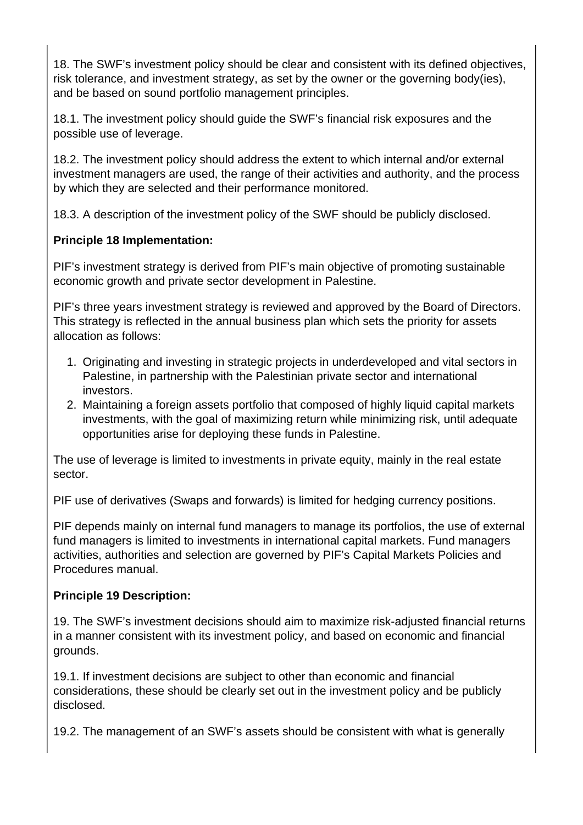18. The SWF's investment policy should be clear and consistent with its defined objectives, risk tolerance, and investment strategy, as set by the owner or the governing body(ies), and be based on sound portfolio management principles.

18.1. The investment policy should guide the SWF's financial risk exposures and the possible use of leverage.

18.2. The investment policy should address the extent to which internal and/or external investment managers are used, the range of their activities and authority, and the process by which they are selected and their performance monitored.

18.3. A description of the investment policy of the SWF should be publicly disclosed.

## **Principle 18 Implementation:**

PIF's investment strategy is derived from PIF's main objective of promoting sustainable economic growth and private sector development in Palestine.

PIF's three years investment strategy is reviewed and approved by the Board of Directors. This strategy is reflected in the annual business plan which sets the priority for assets allocation as follows:

- 1. Originating and investing in strategic projects in underdeveloped and vital sectors in Palestine, in partnership with the Palestinian private sector and international investors.
- 2. Maintaining a foreign assets portfolio that composed of highly liquid capital markets investments, with the goal of maximizing return while minimizing risk, until adequate opportunities arise for deploying these funds in Palestine.

The use of leverage is limited to investments in private equity, mainly in the real estate sector.

PIF use of derivatives (Swaps and forwards) is limited for hedging currency positions.

PIF depends mainly on internal fund managers to manage its portfolios, the use of external fund managers is limited to investments in international capital markets. Fund managers activities, authorities and selection are governed by PIF's Capital Markets Policies and Procedures manual.

## **Principle 19 Description:**

19. The SWF's investment decisions should aim to maximize risk-adjusted financial returns in a manner consistent with its investment policy, and based on economic and financial grounds.

19.1. If investment decisions are subject to other than economic and financial considerations, these should be clearly set out in the investment policy and be publicly disclosed.

19.2. The management of an SWF's assets should be consistent with what is generally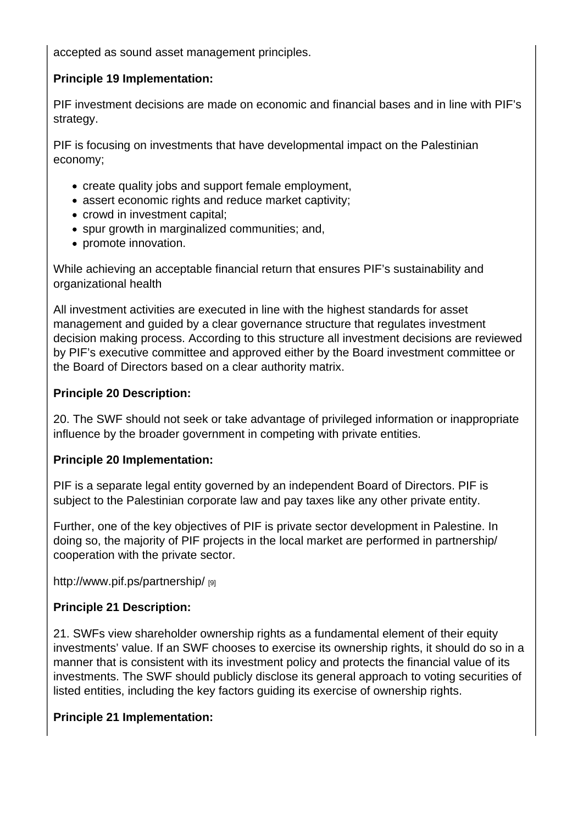accepted as sound asset management principles.

Principle 19 Implementation:

PIF investment decisions are made on economic and financial bases and in line with PIF's strategy.

PIF is focusing on investments that have developmental impact on the Palestinian economy;

- create quality jobs and support female employment,
- assert economic rights and reduce market captivity;
- crowd in investment capital;
- spur growth in marginalized communities; and,
- promote innovation.

While achieving an acceptable financial return that ensures PIF's sustainability and organizational health

All investment activities are executed in line with the highest standards for asset management and guided by a clear governance structure that regulates investment decision making process. According to this structure all investment decisions are reviewed by PIF's executive committee and approved either by the Board investment committee or the Board of Directors based on a clear authority matrix.

Principle 20 Description:

20. The SWF should not seek or take advantage of privileged information or inappropriate influence by the broader government in competing with private entities.

Principle 20 Implementation:

PIF is a separate legal entity governed by an independent Board of Directors. PIF is subject to the Palestinian corporate law and pay taxes like any other private entity.

Further, one of the key objectives of PIF is private sector development in Palestine. In doing so, the majority of PIF projects in the local market are performed in partnership/ cooperation with the private sector.

http://www.pif.ps/partnership/ [9]

Principle 21 Description:

[21. SWFs view shareholder o](http://www.pif.ps/partnership/)wnership rights as a fundamental element of their equity investments' value. If an SWF chooses to exercise its ownership rights, it should do so in a manner that is consistent with its investment policy and protects the financial value of its investments. The SWF should publicly disclose its general approach to voting securities of listed entities, including the key factors guiding its exercise of ownership rights.

Principle 21 Implementation: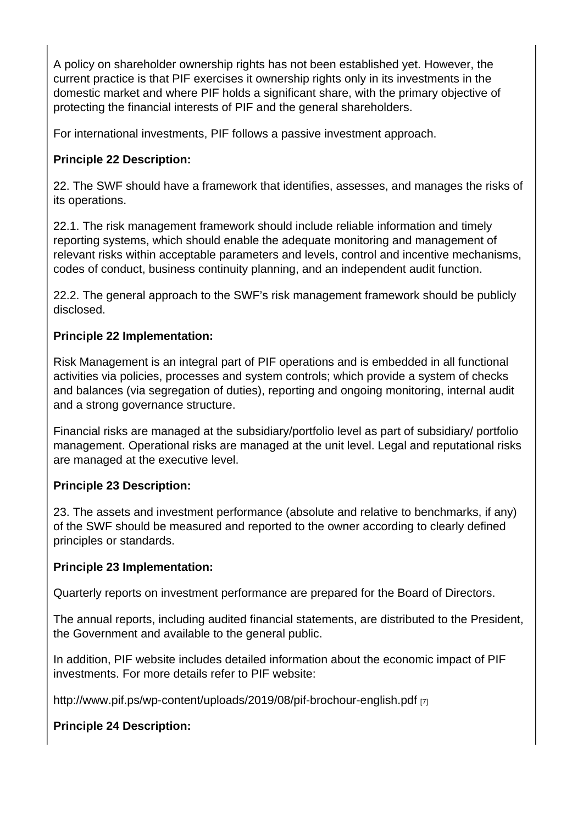A policy on shareholder ownership rights has not been established yet. However, the current practice is that PIF exercises it ownership rights only in its investments in the domestic market and where PIF holds a significant share, with the primary objective of protecting the financial interests of PIF and the general shareholders.

For international investments, PIF follows a passive investment approach.

Principle 22 Description:

22. The SWF should have a framework that identifies, assesses, and manages the risks of its operations.

22.1. The risk management framework should include reliable information and timely reporting systems, which should enable the adequate monitoring and management of relevant risks within acceptable parameters and levels, control and incentive mechanisms, codes of conduct, business continuity planning, and an independent audit function.

22.2. The general approach to the SWF's risk management framework should be publicly disclosed.

Principle 22 Implementation:

Risk Management is an integral part of PIF operations and is embedded in all functional activities via policies, processes and system controls; which provide a system of checks and balances (via segregation of duties), reporting and ongoing monitoring, internal audit and a strong governance structure.

Financial risks are managed at the subsidiary/portfolio level as part of subsidiary/ portfolio management. Operational risks are managed at the unit level. Legal and reputational risks are managed at the executive level.

Principle 23 Description:

23. The assets and investment performance (absolute and relative to benchmarks, if any) of the SWF should be measured and reported to the owner according to clearly defined principles or standards.

Principle 23 Implementation:

Quarterly reports on investment performance are prepared for the Board of Directors.

The annual reports, including audited financial statements, are distributed to the President, the Government and available to the general public.

In addition, PIF website includes detailed information about the economic impact of PIF investments. For more details refer to PIF website:

http://www.pif.ps/wp-content/uploads/2019/08/pif-brochour-english.pdf [7]

Principle 24 Description: